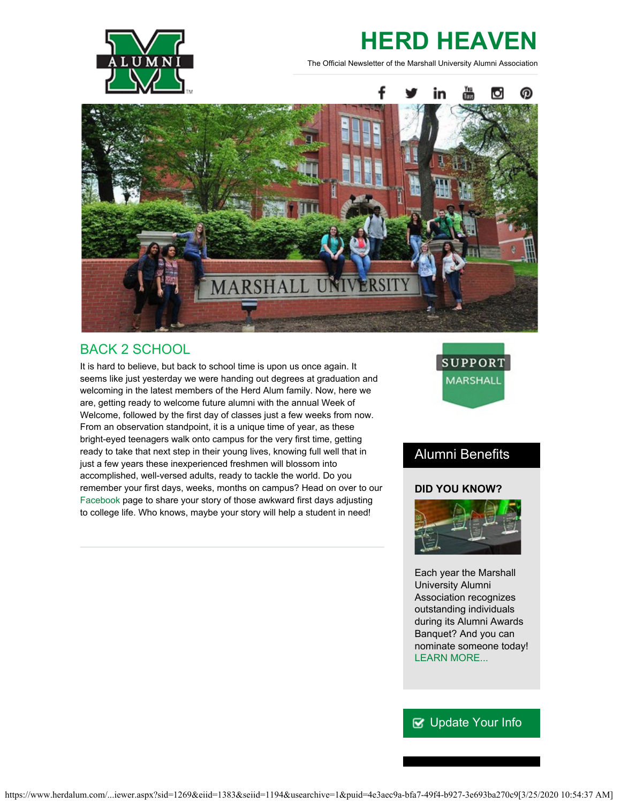

# **HERD HEAVEN**

The Official Newsletter of the Marshall University Alumni Association



# BACK 2 SCHOOL

It is hard to believe, but back to school time is upon us once again. It seems like just yesterday we were handing out degrees at graduation and welcoming in the latest members of the Herd Alum family. Now, here we are, getting ready to welcome future alumni with the annual Week of Welcome, followed by the first day of classes just a few weeks from now. From an observation standpoint, it is a unique time of year, as these bright-eyed teenagers walk onto campus for the very first time, getting ready to take that next step in their young lives, knowing full well that in just a few years these inexperienced freshmen will blossom into accomplished, well-versed adults, ready to tackle the world. Do you remember your first days, weeks, months on campus? Head on over to our [Facebook](https://www.facebook.com/mualumni) page to share your story of those awkward first days adjusting to college life. Who knows, maybe your story will help a student in need!



# Alumni Benefits

#### **DID YOU KNOW?**



Each year the Marshall University Alumni Association recognizes outstanding individuals during its Alumni Awards Banquet? And you can nominate someone today! [LEARN MORE...](http://www.herdalum.com/s/1269/index.aspx?sid=1269&gid=1&pgid=1006)

## **V** [Update Your Info](http://www.herdalum.com/s/1269/index.aspx?sid=1269&gid=1&pgid=6&cid=41#/Search/Simple)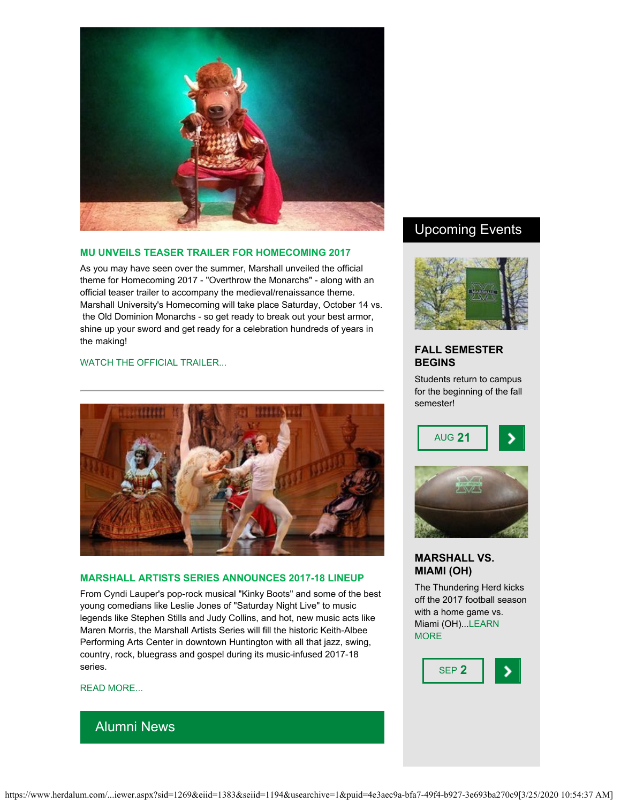

#### **MU UNVEILS TEASER TRAILER FOR HOMECOMING 2017**

As you may have seen over the summer, Marshall unveiled the official theme for Homecoming 2017 - "Overthrow the Monarchs" - along with an official teaser trailer to accompany the medieval/renaissance theme. Marshall University's Homecoming will take place Saturday, October 14 vs. the Old Dominion Monarchs - so get ready to break out your best armor, shine up your sword and get ready for a celebration hundreds of years in the making!

#### [WATCH THE OFFICIAL TRAILER...](https://vimeo.com/223295434)



#### **MARSHALL ARTISTS SERIES ANNOUNCES 2017-18 LINEUP**

From Cyndi Lauper's pop-rock musical "Kinky Boots" and some of the best young comedians like Leslie Jones of "Saturday Night Live" to music legends like Stephen Stills and Judy Collins, and hot, new music acts like Maren Morris, the Marshall Artists Series will fill the historic Keith-Albee Performing Arts Center in downtown Huntington with all that jazz, swing, country, rock, bluegrass and gospel during its music-infused 2017-18 series.

[READ MORE...](http://www.herald-dispatch.com/features_entertainment/marshall-artists-series/article_4ed4d089-b30c-509c-82d2-23f6b07db5ab.html)

## Alumni News

## Upcoming Events



#### **FALL SEMESTER BEGINS**

Students return to campus for the beginning of the fall semester!





#### **MARSHALL VS. MIAMI (OH)**

The Thundering Herd kicks off the 2017 football season with a home game vs. Miami (OH)..[.LEARN](http://www.herdzone.com/sports/m-footbl/sched/mars-m-footbl-sched.html) **[MORE](http://www.herdzone.com/sports/m-footbl/sched/mars-m-footbl-sched.html)** 

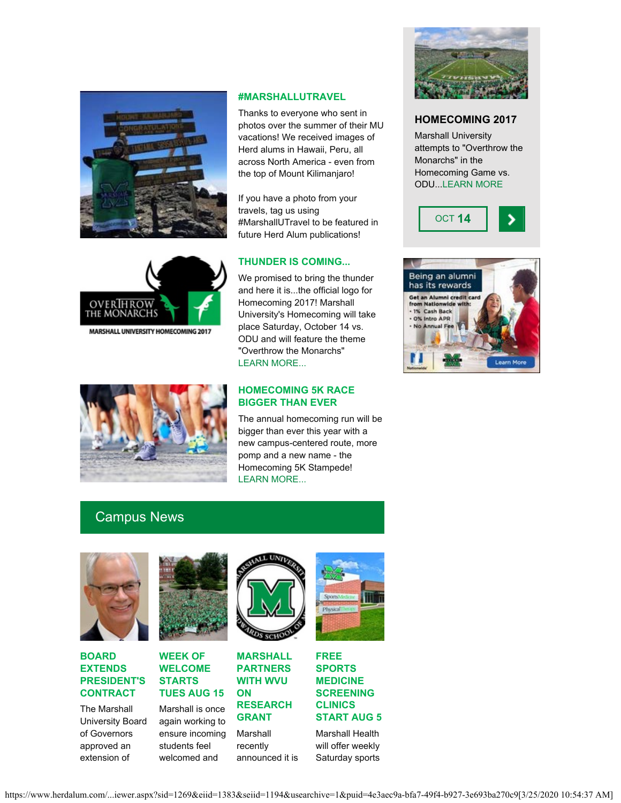



Thanks to everyone who sent in photos over the summer of their MU vacations! We received images of Herd alums in Hawaii, Peru, all across North America - even from the top of Mount Kilimanjaro!

If you have a photo from your travels, tag us using #MarshallUTravel to be featured in future Herd Alum publications!



MARSHALL UNIVERSITY HOMECOMING 2017

#### **THUNDER IS COMING...**

We promised to bring the thunder and here it is...the official logo for Homecoming 2017! Marshall University's Homecoming will take place Saturday, October 14 vs. ODU and will feature the theme "Overthrow the Monarchs" [LEARN MORE...](http://www.herdalum.com/s/1269/index.aspx?sid=1269&gid=1&pgid=949) 



#### **HOMECOMING 5K RACE BIGGER THAN EVER**

The annual homecoming run will be bigger than ever this year with a new campus-centered route, more pomp and a new name - the Homecoming 5K Stampede! [LEARN MORE...](http://www.tristateracer.com/event.php?RaceID=9594)

# Campus News



**BOARD EXTENDS PRESIDENT'S CONTRACT**

The Marshall University Board of Governors approved an extension of





welcomed and

Marshall is once again working to ensure incoming students feel **WITH WVU ON RESEARCH GRANT**

Marshall recently announced it is

**MARSHALL PARTNERS**



**FREE SPORTS MEDICINE SCREENING CLINICS START AUG 5**

Marshall Health will offer weekly Saturday sports



#### **HOMECOMING 2017**

Marshall University attempts to "Overthrow the Monarchs" in the Homecoming Game vs. ODU..[.LEARN MORE](http://www.herdalum.com/s/1269/index.aspx?sid=1269&gid=1&pgid=949)



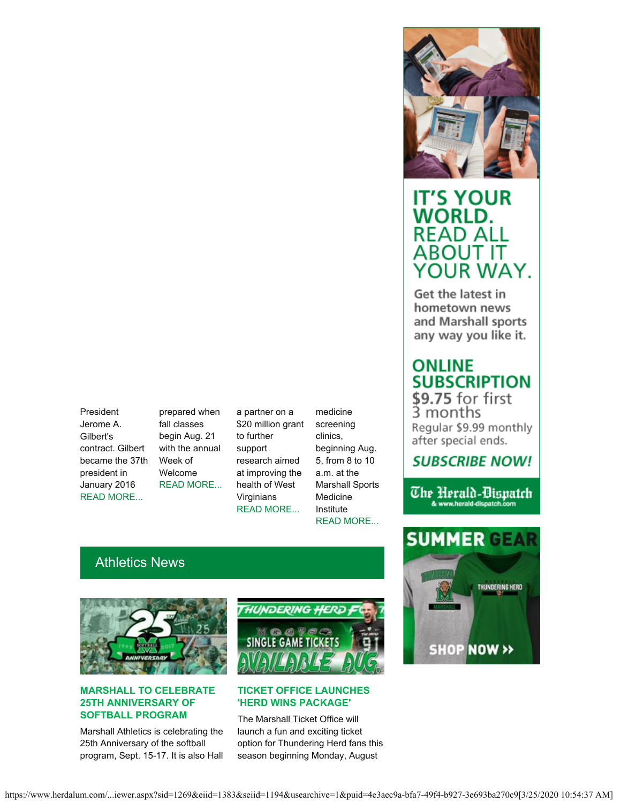President Jerome A. Gilbert's contract. Gilbert became the 37th president in January 2016 [READ MORE...](https://www.marshall.edu/ucomm/2017/07/19/board-governors-extends-presidents-contract/)

prepared when fall classes begin Aug. 21 with the annual Week of Welcome [READ MORE...](https://www.marshall.edu/ucomm/2017/08/07/week-welcome-start-tuesday-aug-15/)

a partner on a \$20 million grant to further support research aimed at improving the health of West Virginians [READ MORE...](https://www.marshall.edu/ucomm/2017/08/01/marshall-university-partners-west-virginia-university-multimillion-dollar-research-grant/)

medicine screening clinics, beginning Aug. 5, from 8 to 10 a.m. at the Marshall Sports Medicine Institute [READ MORE...](https://www.marshall.edu/ucomm/2017/08/02/free-saturday-sports-medicine-screening-clinics-start-aug-5/)

# Athletics News



#### **MARSHALL TO CELEBRATE 25TH ANNIVERSARY OF SOFTBALL PROGRAM**

Marshall Athletics is celebrating the 25th Anniversary of the softball program, Sept. 15-17. It is also Hall



#### **TICKET OFFICE LAUNCHES 'HERD WINS PACKAGE'**

The Marshall Ticket Office will launch a fun and exciting ticket option for Thundering Herd fans this season beginning Monday, August



# **IT'S YOUR WORLD. READ ALL** ABOUT IT YOUR WAY.

Get the latest in hometown news and Marshall sports any way you like it.

# **ONLINE SUBSCRIPTION**

\$9.75 for first<br>3 months Regular \$9.99 monthly after special ends.

# **SUBSCRIBE NOW!**

The Herald-Dispatch & www.herald-dispatch.com

# **SUMMER GE** THUNDERING HERD SHOP NOW >>